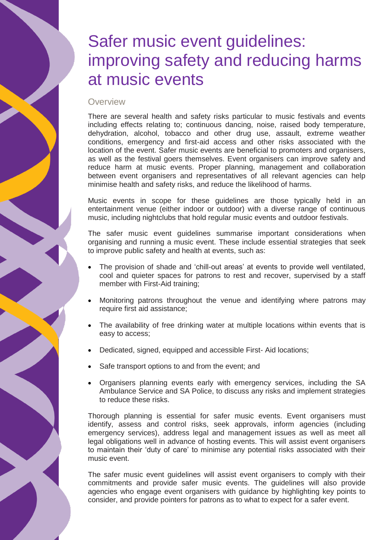# Safer music event guidelines: improving safety and reducing harms at music events

# **Overview**

There are several health and safety risks particular to music festivals and events including effects relating to; continuous dancing, noise, raised body temperature, dehydration, alcohol, tobacco and other drug use, assault, extreme weather conditions, emergency and first-aid access and other risks associated with the location of the event. Safer music events are beneficial to promoters and organisers, as well as the festival goers themselves. Event organisers can improve safety and reduce harm at music events. Proper planning, management and collaboration between event organisers and representatives of all relevant agencies can help minimise health and safety risks, and reduce the likelihood of harms.

Music events in scope for these guidelines are those typically held in an entertainment venue (either indoor or outdoor) with a diverse range of continuous music, including nightclubs that hold regular music events and outdoor festivals.

The safer music event guidelines summarise important considerations when organising and running a music event. These include essential strategies that seek to improve public safety and health at events, such as:

- The provision of shade and 'chill-out areas' at events to provide well ventilated, cool and quieter spaces for patrons to rest and recover, supervised by a staff member with First-Aid training;
- Monitoring patrons throughout the venue and identifying where patrons may require first aid assistance;
- The availability of free drinking water at multiple locations within events that is easy to access;
- Dedicated, signed, equipped and accessible First- Aid locations;
- Safe transport options to and from the event; and
- Organisers planning events early with emergency services, including the SA Ambulance Service and SA Police, to discuss any risks and implement strategies to reduce these risks.

Thorough planning is essential for safer music events. Event organisers must identify, assess and control risks, seek approvals, inform agencies (including emergency services), address legal and management issues as well as meet all legal obligations well in advance of hosting events. This will assist event organisers to maintain their 'duty of care' to minimise any potential risks associated with their music event.

The safer music event guidelines will assist event organisers to comply with their commitments and provide safer music events. The guidelines will also provide agencies who engage event organisers with guidance by highlighting key points to consider, and provide pointers for patrons as to what to expect for a safer event.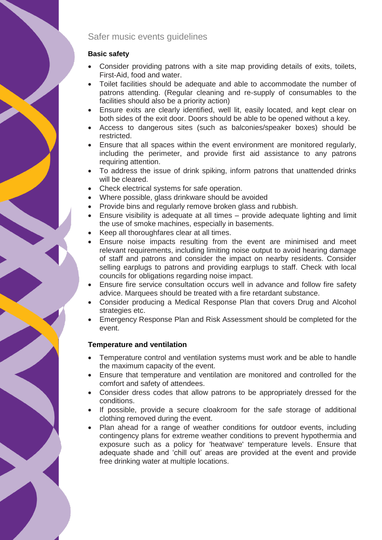# Safer music events guidelines

# **Basic safety**

- Consider providing patrons with a site map providing details of exits, toilets, First-Aid, food and water.
- Toilet facilities should be adequate and able to accommodate the number of patrons attending. (Regular cleaning and re-supply of consumables to the facilities should also be a priority action)
- Ensure exits are clearly identified, well lit, easily located, and kept clear on both sides of the exit door. Doors should be able to be opened without a key.
- Access to dangerous sites (such as balconies/speaker boxes) should be restricted.
- Ensure that all spaces within the event environment are monitored regularly, including the perimeter, and provide first aid assistance to any patrons requiring attention.
- To address the issue of drink spiking, inform patrons that unattended drinks will be cleared.
- Check electrical systems for safe operation.
- Where possible, glass drinkware should be avoided
- Provide bins and regularly remove broken glass and rubbish.
- Ensure visibility is adequate at all times provide adequate lighting and limit the use of smoke machines, especially in basements.
- Keep all thoroughfares clear at all times.
- Ensure noise impacts resulting from the event are minimised and meet relevant requirements, including limiting noise output to avoid hearing damage of staff and patrons and consider the impact on nearby residents. Consider selling earplugs to patrons and providing earplugs to staff. Check with local councils for obligations regarding noise impact.
- Ensure fire service consultation occurs well in advance and follow fire safety advice. Marquees should be treated with a fire retardant substance.
- Consider producing a Medical Response Plan that covers Drug and Alcohol strategies etc.
- Emergency Response Plan and Risk Assessment should be completed for the event.

# **Temperature and ventilation**

- Temperature control and ventilation systems must work and be able to handle the maximum capacity of the event.
- Ensure that temperature and ventilation are monitored and controlled for the comfort and safety of attendees.
- Consider dress codes that allow patrons to be appropriately dressed for the conditions.
- If possible, provide a secure cloakroom for the safe storage of additional clothing removed during the event.
- Plan ahead for a range of weather conditions for outdoor events, including contingency plans for extreme weather conditions to prevent hypothermia and exposure such as a policy for 'heatwave' temperature levels. Ensure that adequate shade and 'chill out' areas are provided at the event and provide free drinking water at multiple locations.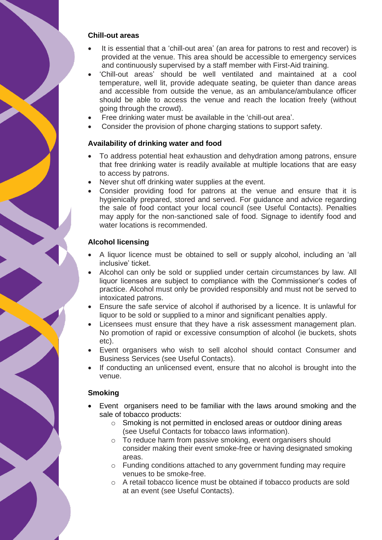#### **Chill-out areas**

- It is essential that a 'chill-out area' (an area for patrons to rest and recover) is provided at the venue. This area should be accessible to emergency services and continuously supervised by a staff member with First-Aid training.
- 'Chill-out areas' should be well ventilated and maintained at a cool temperature, well lit, provide adequate seating, be quieter than dance areas and accessible from outside the venue, as an ambulance/ambulance officer should be able to access the venue and reach the location freely (without going through the crowd).
- Free drinking water must be available in the 'chill-out area'.
- Consider the provision of phone charging stations to support safety.

#### **Availability of drinking water and food**

- To address potential heat exhaustion and dehydration among patrons, ensure that free drinking water is readily available at multiple locations that are easy to access by patrons.
- Never shut off drinking water supplies at the event.
- Consider providing food for patrons at the venue and ensure that it is hygienically prepared, stored and served. For guidance and advice regarding the sale of food contact your local council (see Useful Contacts). Penalties may apply for the non-sanctioned sale of food. Signage to identify food and water locations is recommended.

#### **Alcohol licensing**

- A liquor licence must be obtained to sell or supply alcohol, including an 'all inclusive' ticket.
- Alcohol can only be sold or supplied under certain circumstances by law. All liquor licenses are subject to compliance with the Commissioner's codes of practice. Alcohol must only be provided responsibly and must not be served to intoxicated patrons.
- Ensure the safe service of alcohol if authorised by a licence. It is unlawful for liquor to be sold or supplied to a minor and significant penalties apply.
- Licensees must ensure that they have a risk assessment management plan. No promotion of rapid or excessive consumption of alcohol (ie buckets, shots etc).
- Event organisers who wish to sell alcohol should contact Consumer and Business Services (see Useful Contacts).
- If conducting an unlicensed event, ensure that no alcohol is brought into the venue.

#### **Smoking**

- Event organisers need to be familiar with the laws around smoking and the sale of tobacco products:
	- o Smoking is not permitted in enclosed areas or outdoor dining areas (see Useful Contacts for tobacco laws information).
	- o To reduce harm from passive smoking, event organisers should consider making their event smoke-free or having designated smoking areas.
	- o Funding conditions attached to any government funding may require venues to be smoke-free.
	- o A retail tobacco licence must be obtained if tobacco products are sold at an event (see Useful Contacts).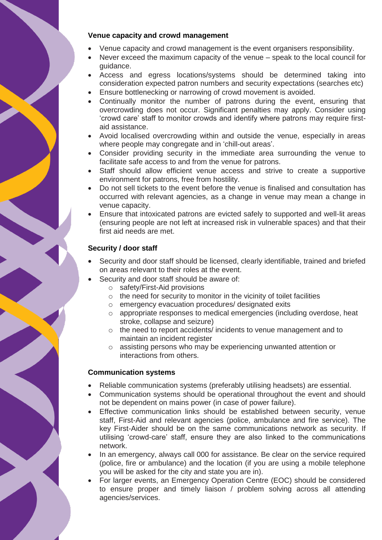#### **Venue capacity and crowd management**

- Venue capacity and crowd management is the event organisers responsibility.
- Never exceed the maximum capacity of the venue speak to the local council for guidance.
- Access and egress locations/systems should be determined taking into consideration expected patron numbers and security expectations (searches etc)
- Ensure bottlenecking or narrowing of crowd movement is avoided.
- Continually monitor the number of patrons during the event, ensuring that overcrowding does not occur. Significant penalties may apply. Consider using 'crowd care' staff to monitor crowds and identify where patrons may require firstaid assistance.
- Avoid localised overcrowding within and outside the venue, especially in areas where people may congregate and in 'chill-out areas'.
- Consider providing security in the immediate area surrounding the venue to facilitate safe access to and from the venue for patrons.
- Staff should allow efficient venue access and strive to create a supportive environment for patrons, free from hostility.
- Do not sell tickets to the event before the venue is finalised and consultation has occurred with relevant agencies, as a change in venue may mean a change in venue capacity.
- Ensure that intoxicated patrons are evicted safely to supported and well-lit areas (ensuring people are not left at increased risk in vulnerable spaces) and that their first aid needs are met.

# **Security / door staff**

- Security and door staff should be licensed, clearly identifiable, trained and briefed on areas relevant to their roles at the event.
- Security and door staff should be aware of:
	- o safety/First-Aid provisions
	- $\circ$  the need for security to monitor in the vicinity of toilet facilities
	- o emergency evacuation procedures/ designated exits
	- o appropriate responses to medical emergencies (including overdose, heat stroke, collapse and seizure)
	- o the need to report accidents/ incidents to venue management and to maintain an incident register
	- o assisting persons who may be experiencing unwanted attention or interactions from others.

#### **Communication systems**

- Reliable communication systems (preferably utilising headsets) are essential.
- Communication systems should be operational throughout the event and should not be dependent on mains power (in case of power failure).
- Effective communication links should be established between security, venue staff, First-Aid and relevant agencies (police, ambulance and fire service). The key First-Aider should be on the same communications network as security. If utilising 'crowd-care' staff, ensure they are also linked to the communications network.
- In an emergency, always call 000 for assistance. Be clear on the service required (police, fire or ambulance) and the location (if you are using a mobile telephone you will be asked for the city and state you are in).
- For larger events, an Emergency Operation Centre (EOC) should be considered to ensure proper and timely liaison / problem solving across all attending agencies/services.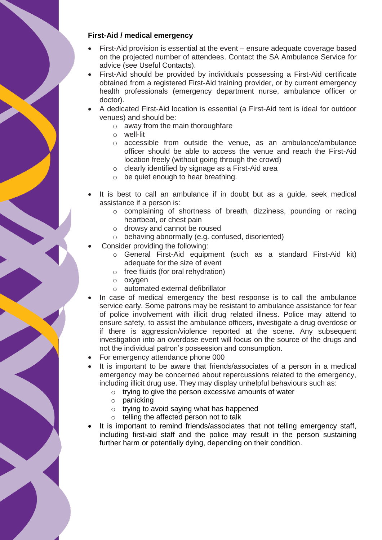#### **First-Aid / medical emergency**

- First-Aid provision is essential at the event ensure adequate coverage based on the projected number of attendees. Contact the SA Ambulance Service for advice (see Useful Contacts).
- First-Aid should be provided by individuals possessing a First-Aid certificate obtained from a registered First-Aid training provider, or by current emergency health professionals (emergency department nurse, ambulance officer or doctor).
- A dedicated First-Aid location is essential (a First-Aid tent is ideal for outdoor venues) and should be:
	- o away from the main thoroughfare
	- o well-lit
	- o accessible from outside the venue, as an ambulance/ambulance officer should be able to access the venue and reach the First-Aid location freely (without going through the crowd)
	- o clearly identified by signage as a First-Aid area
	- o be quiet enough to hear breathing.
- It is best to call an ambulance if in doubt but as a guide, seek medical assistance if a person is:
	- o complaining of shortness of breath, dizziness, pounding or racing heartbeat, or chest pain
	- o drowsy and cannot be roused
	- o behaving abnormally (e.g. confused, disoriented)
- Consider providing the following:
	- o General First-Aid equipment (such as a standard First-Aid kit) adequate for the size of event
	- o free fluids (for oral rehydration)
	- o oxygen
	- o automated external defibrillator
- In case of medical emergency the best response is to call the ambulance service early. Some patrons may be resistant to ambulance assistance for fear of police involvement with illicit drug related illness. Police may attend to ensure safety, to assist the ambulance officers, investigate a drug overdose or if there is aggression/violence reported at the scene. Any subsequent investigation into an overdose event will focus on the source of the drugs and not the individual patron's possession and consumption.
- For emergency attendance phone 000
- It is important to be aware that friends/associates of a person in a medical emergency may be concerned about repercussions related to the emergency, including illicit drug use. They may display unhelpful behaviours such as:
	- o trying to give the person excessive amounts of water
	- o panicking
	- o trying to avoid saying what has happened
	- o telling the affected person not to talk
- It is important to remind friends/associates that not telling emergency staff, including first-aid staff and the police may result in the person sustaining further harm or potentially dying, depending on their condition.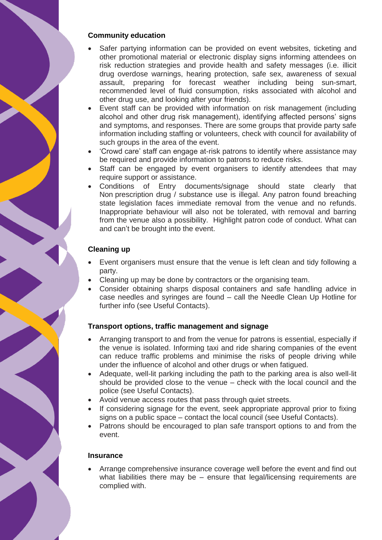#### **Community education**

- Safer partying information can be provided on event websites, ticketing and other promotional material or electronic display signs informing attendees on risk reduction strategies and provide health and safety messages (i.e. illicit drug overdose warnings, hearing protection, safe sex, awareness of sexual assault, preparing for forecast weather including being sun-smart, recommended level of fluid consumption, risks associated with alcohol and other drug use, and looking after your friends).
- Event staff can be provided with information on risk management (including alcohol and other drug risk management), identifying affected persons' signs and symptoms, and responses. There are some groups that provide party safe information including staffing or volunteers, check with council for availability of such groups in the area of the event.
- 'Crowd care' staff can engage at-risk patrons to identify where assistance may be required and provide information to patrons to reduce risks.
- Staff can be engaged by event organisers to identify attendees that may require support or assistance.
- Conditions of Entry documents/signage should state clearly that Non prescription drug / substance use is illegal. Any patron found breaching state legislation faces immediate removal from the venue and no refunds. Inappropriate behaviour will also not be tolerated, with removal and barring from the venue also a possibility. Highlight patron code of conduct. What can and can't be brought into the event.

# **Cleaning up**

- Event organisers must ensure that the venue is left clean and tidy following a party.
- Cleaning up may be done by contractors or the organising team.
- Consider obtaining sharps disposal containers and safe handling advice in case needles and syringes are found – call the Needle Clean Up Hotline for further info (see Useful Contacts).

# **Transport options, traffic management and signage**

- Arranging transport to and from the venue for patrons is essential, especially if the venue is isolated. Informing taxi and ride sharing companies of the event can reduce traffic problems and minimise the risks of people driving while under the influence of alcohol and other drugs or when fatigued.
- Adequate, well-lit parking including the path to the parking area is also well-lit should be provided close to the venue – check with the local council and the police (see Useful Contacts).
- Avoid venue access routes that pass through quiet streets.
- If considering signage for the event, seek appropriate approval prior to fixing signs on a public space – contact the local council (see Useful Contacts).
- Patrons should be encouraged to plan safe transport options to and from the event.

#### **Insurance**

 Arrange comprehensive insurance coverage well before the event and find out what liabilities there may be  $-$  ensure that legal/licensing requirements are complied with.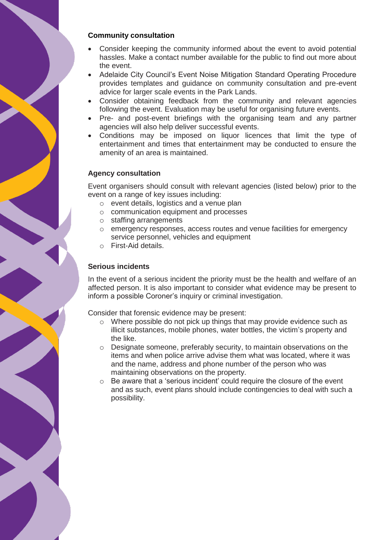#### **Community consultation**

- Consider keeping the community informed about the event to avoid potential hassles. Make a contact number available for the public to find out more about the event.
- Adelaide City Council's Event Noise Mitigation Standard Operating Procedure provides templates and guidance on community consultation and pre-event advice for larger scale events in the Park Lands.
- Consider obtaining feedback from the community and relevant agencies following the event. Evaluation may be useful for organising future events.
- Pre- and post-event briefings with the organising team and any partner agencies will also help deliver successful events.
- Conditions may be imposed on liquor licences that limit the type of entertainment and times that entertainment may be conducted to ensure the amenity of an area is maintained.

#### **Agency consultation**

Event organisers should consult with relevant agencies (listed below) prior to the event on a range of key issues including:

- o event details, logistics and a venue plan
- o communication equipment and processes
- o staffing arrangements
- o emergency responses, access routes and venue facilities for emergency service personnel, vehicles and equipment
- o First-Aid details.

#### **Serious incidents**

In the event of a serious incident the priority must be the health and welfare of an affected person. It is also important to consider what evidence may be present to inform a possible Coroner's inquiry or criminal investigation.

Consider that forensic evidence may be present:

- o Where possible do not pick up things that may provide evidence such as illicit substances, mobile phones, water bottles, the victim's property and the like.
- o Designate someone, preferably security, to maintain observations on the items and when police arrive advise them what was located, where it was and the name, address and phone number of the person who was maintaining observations on the property.
- o Be aware that a 'serious incident' could require the closure of the event and as such, event plans should include contingencies to deal with such a possibility.